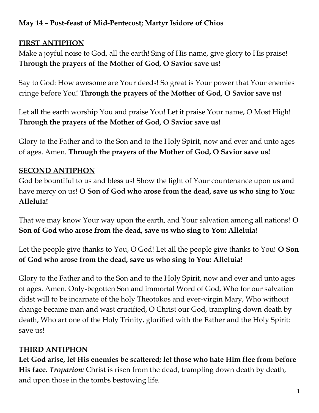## **May 14 – Post-feast of Mid-Pentecost; Martyr Isidore of Chios**

### **FIRST ANTIPHON**

Make a joyful noise to God, all the earth! Sing of His name, give glory to His praise! **Through the prayers of the Mother of God, O Savior save us!**

Say to God: How awesome are Your deeds! So great is Your power that Your enemies cringe before You! **Through the prayers of the Mother of God, O Savior save us!**

Let all the earth worship You and praise You! Let it praise Your name, O Most High! **Through the prayers of the Mother of God, O Savior save us!**

Glory to the Father and to the Son and to the Holy Spirit, now and ever and unto ages of ages. Amen. **Through the prayers of the Mother of God, O Savior save us!**

## **SECOND ANTIPHON**

God be bountiful to us and bless us! Show the light of Your countenance upon us and have mercy on us! **O Son of God who arose from the dead, save us who sing to You: Alleluia!**

That we may know Your way upon the earth, and Your salvation among all nations! **O Son of God who arose from the dead, save us who sing to You: Alleluia!**

Let the people give thanks to You, O God! Let all the people give thanks to You! **O Son of God who arose from the dead, save us who sing to You: Alleluia!**

Glory to the Father and to the Son and to the Holy Spirit, now and ever and unto ages of ages. Amen. Only-begotten Son and immortal Word of God, Who for our salvation didst will to be incarnate of the holy Theotokos and ever-virgin Mary, Who without change became man and wast crucified, O Christ our God, trampling down death by death, Who art one of the Holy Trinity, glorified with the Father and the Holy Spirit: save us!

# **THIRD ANTIPHON**

**Let God arise, let His enemies be scattered; let those who hate Him flee from before His face.** *Troparion:* Christ is risen from the dead, trampling down death by death, and upon those in the tombs bestowing life.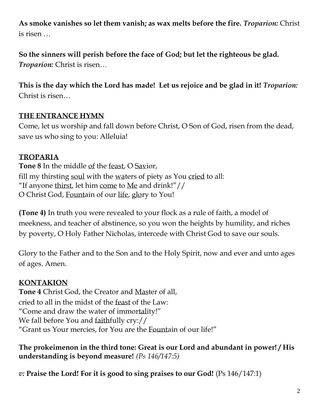**As smoke vanishes so let them vanish; as wax melts before the fire.** *Troparion:* Christ is risen …

**So the sinners will perish before the face of God; but let the righteous be glad.** *Troparion:* Christ is risen…

**This is the day which the Lord has made! Let us rejoice and be glad in it!** *Troparion:* Christ is risen…

## **THE ENTRANCE HYMN**

Come, let us worship and fall down before Christ, O Son of God, risen from the dead, save us who sing to you: Alleluia!

# **TROPARIA**

**Tone 8** In the middle of the feast, O Savior, fill my thirsting soul with the waters of piety as You cried to all: "If anyone thirst, let him come to Me and drink!"// O Christ God, Fountain of our life, glory to You!

**(Tone 4)** In truth you were revealed to your flock as a rule of faith, a model of meekness, and teacher of abstinence, so you won the heights by humility, and riches by poverty, O Holy Father Nicholas, intercede with Christ God to save our souls.

Glory to the Father and to the Son and to the Holy Spirit, now and ever and unto ages of ages. Amen.

# **KONTAKION**

**Tone 4** Christ God, the Creator and Master of all, cried to all in the midst of the feast of the Law: "Come and draw the water of immortality!" We fall before You and faithfully cry:// "Grant us Your mercies, for You are the Fountain of our life!"

**The prokeimenon in the third tone: Great is our Lord and abundant in power! / His understanding is beyond measure!** *(Ps 146/147:5)*

*v:* **Praise the Lord! For it is good to sing praises to our God!** (Ps 146/147:1)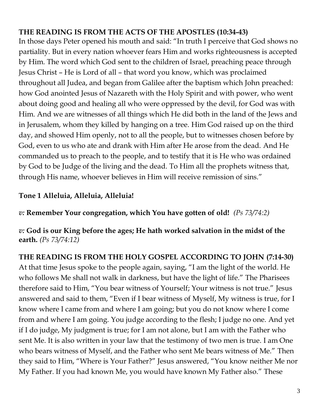## **THE READING IS FROM THE ACTS OF THE APOSTLES (10:34-43)**

In those days Peter opened his mouth and said: "In truth I perceive that God shows no partiality. But in every nation whoever fears Him and works righteousness is accepted by Him. The word which God sent to the children of Israel, preaching peace through Jesus Christ – He is Lord of all – that word you know, which was proclaimed throughout all Judea, and began from Galilee after the baptism which John preached: how God anointed Jesus of Nazareth with the Holy Spirit and with power, who went about doing good and healing all who were oppressed by the devil, for God was with Him. And we are witnesses of all things which He did both in the land of the Jews and in Jerusalem, whom they killed by hanging on a tree. Him God raised up on the third day, and showed Him openly, not to all the people, but to witnesses chosen before by God, even to us who ate and drank with Him after He arose from the dead. And He commanded us to preach to the people, and to testify that it is He who was ordained by God to be Judge of the living and the dead. To Him all the prophets witness that, through His name, whoever believes in Him will receive remission of sins."

#### **Tone 1 Alleluia, Alleluia, Alleluia!**

*v:* **Remember Your congregation, which You have gotten of old!** *(Ps 73/74:2)*

*v:* **God is our King before the ages; He hath worked salvation in the midst of the earth.** *(Ps 73/74:12)*

**THE READING IS FROM THE HOLY GOSPEL ACCORDING TO JOHN (7:14-30)** At that time Jesus spoke to the people again, saying, "I am the light of the world. He who follows Me shall not walk in darkness, but have the light of life." The Pharisees therefore said to Him, "You bear witness of Yourself; Your witness is not true." Jesus answered and said to them, "Even if I bear witness of Myself, My witness is true, for I know where I came from and where I am going; but you do not know where I come from and where I am going. You judge according to the flesh; I judge no one. And yet if I do judge, My judgment is true; for I am not alone, but I am with the Father who sent Me. It is also written in your law that the testimony of two men is true. I am One who bears witness of Myself, and the Father who sent Me bears witness of Me." Then they said to Him, "Where is Your Father?" Jesus answered, "You know neither Me nor My Father. If you had known Me, you would have known My Father also." These